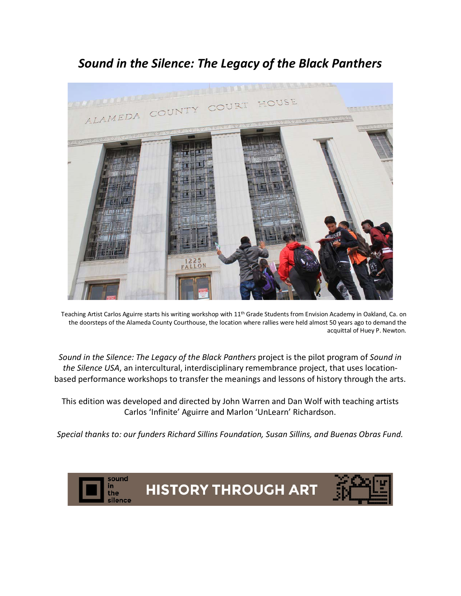# *Sound in the Silence: The Legacy of the Black Panthers*



Teaching Artist Carlos Aguirre starts his writing workshop with 11<sup>th</sup> Grade Students from Envision Academy in Oakland, Ca. on the doorsteps of the Alameda County Courthouse, the location where rallies were held almost 50 years ago to demand the acquittal of Huey P. Newton.

*Sound in the Silence: The Legacy of the Black Panthers* project is the pilot program of *Sound in the Silence USA*, an intercultural, interdisciplinary remembrance project, that uses locationbased performance workshops to transfer the meanings and lessons of history through the arts.

This edition was developed and directed by John Warren and Dan Wolf with teaching artists Carlos 'Infinite' Aguirre and Marlon 'UnLearn' Richardson.

*Special thanks to: our funders Richard Sillins Foundation, Susan Sillins, and Buenas Obras Fund.* 

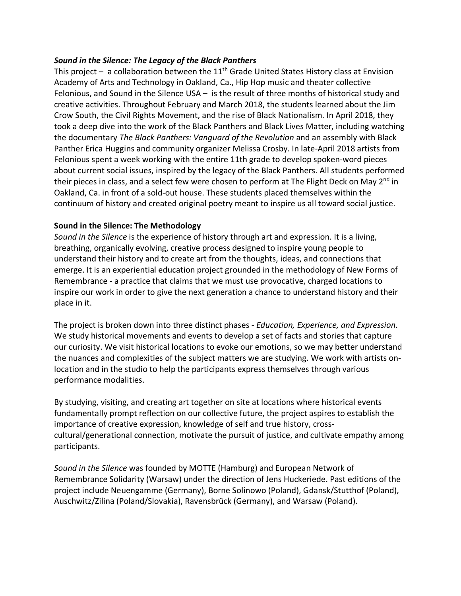## *Sound in the Silence: The Legacy of the Black Panthers*

This project – a collaboration between the  $11<sup>th</sup>$  Grade United States History class at Envision Academy of Arts and Technology in Oakland, Ca., Hip Hop music and theater collective Felonious, and Sound in the Silence USA – is the result of three months of historical study and creative activities. Throughout February and March 2018, the students learned about the Jim Crow South, the Civil Rights Movement, and the rise of Black Nationalism. In April 2018, they took a deep dive into the work of the Black Panthers and Black Lives Matter, including watching the documentary *The Black Panthers: Vanguard of the Revolution* and an assembly with Black Panther Erica Huggins and community organizer Melissa Crosby. In late-April 2018 artists from Felonious spent a week working with the entire 11th grade to develop spoken-word pieces about current social issues, inspired by the legacy of the Black Panthers. All students performed their pieces in class, and a select few were chosen to perform at The Flight Deck on May 2<sup>nd</sup> in Oakland, Ca. in front of a sold-out house. These students placed themselves within the continuum of history and created original poetry meant to inspire us all toward social justice.

### **Sound in the Silence: The Methodology**

*Sound in the Silence* is the experience of history through art and expression. It is a living, breathing, organically evolving, creative process designed to inspire young people to understand their history and to create art from the thoughts, ideas, and connections that emerge. It is an experiential education project grounded in the methodology of New Forms of Remembrance - a practice that claims that we must use provocative, charged locations to inspire our work in order to give the next generation a chance to understand history and their place in it.

The project is broken down into three distinct phases - *Education, Experience, and Expression*. We study historical movements and events to develop a set of facts and stories that capture our curiosity. We visit historical locations to evoke our emotions, so we may better understand the nuances and complexities of the subject matters we are studying. We work with artists onlocation and in the studio to help the participants express themselves through various performance modalities.

By studying, visiting, and creating art together on site at locations where historical events fundamentally prompt reflection on our collective future, the project aspires to establish the importance of creative expression, knowledge of self and true history, crosscultural/generational connection, motivate the pursuit of justice, and cultivate empathy among participants.

*Sound in the Silence* was founded by MOTTE (Hamburg) and European Network of Remembrance Solidarity (Warsaw) under the direction of Jens Huckeriede. Past editions of the project include Neuengamme (Germany), Borne Solinowo (Poland), Gdansk/Stutthof (Poland), Auschwitz/Zilina (Poland/Slovakia), Ravensbrück (Germany), and Warsaw (Poland).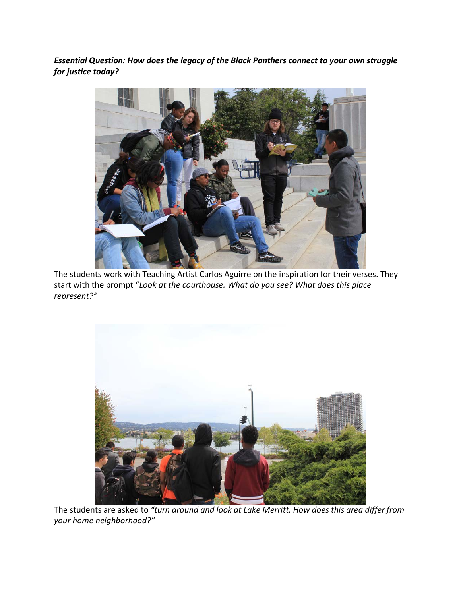*Essential Question: How does the legacy of the Black Panthers connect to your own struggle for justice today?*



The students work with Teaching Artist Carlos Aguirre on the inspiration for their verses. They start with the prompt "*Look at the courthouse. What do you see? What does this place represent?"*



The students are asked to *"turn around and look at Lake Merritt. How does this area differ from your home neighborhood?"*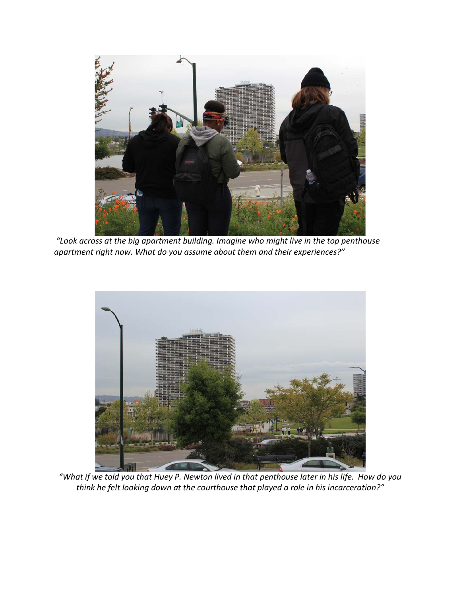

*"Look across at the big apartment building. Imagine who might live in the top penthouse apartment right now. What do you assume about them and their experiences?"*



*"What if we told you that Huey P. Newton lived in that penthouse later in his life. How do you think he felt looking down at the courthouse that played a role in his incarceration?"*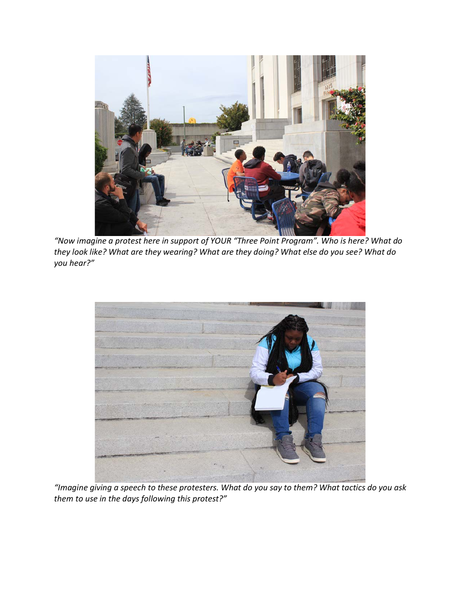

*"Now imagine a protest here in support of YOUR "Three Point Program". Who is here? What do they look like? What are they wearing? What are they doing? What else do you see? What do you hear?"* 



*"Imagine giving a speech to these protesters. What do you say to them? What tactics do you ask them to use in the days following this protest?"*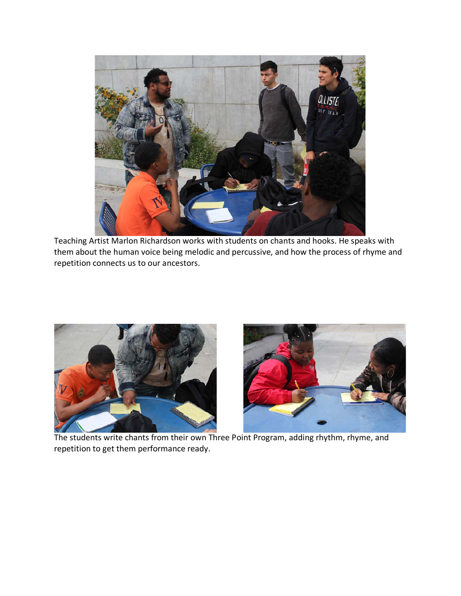

Teaching Artist Marlon Richardson works with students on chants and hooks. He speaks with them about the human voice being melodic and percussive, and how the process of rhyme and repetition connects us to our ancestors.



 The students write chants from their own Three Point Program, adding rhythm, rhyme, and repetition to get them performance ready.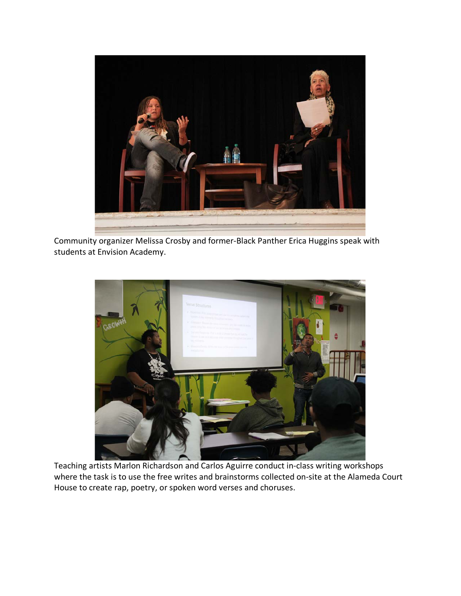

Community organizer Melissa Crosby and former-Black Panther Erica Huggins speak with students at Envision Academy.



Teaching artists Marlon Richardson and Carlos Aguirre conduct in-class writing workshops where the task is to use the free writes and brainstorms collected on-site at the Alameda Court House to create rap, poetry, or spoken word verses and choruses.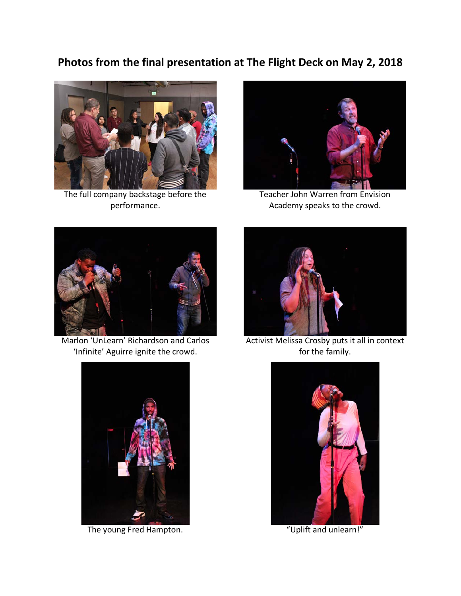## **Photos from the final presentation at The Flight Deck on May 2, 2018**



The full company backstage before the performance.



Teacher John Warren from Envision Academy speaks to the crowd.



Marlon 'UnLearn' Richardson and Carlos 'Infinite' Aguirre ignite the crowd.



Activist Melissa Crosby puts it all in context for the family.



The young Fred Hampton. The young Fred Hampton.

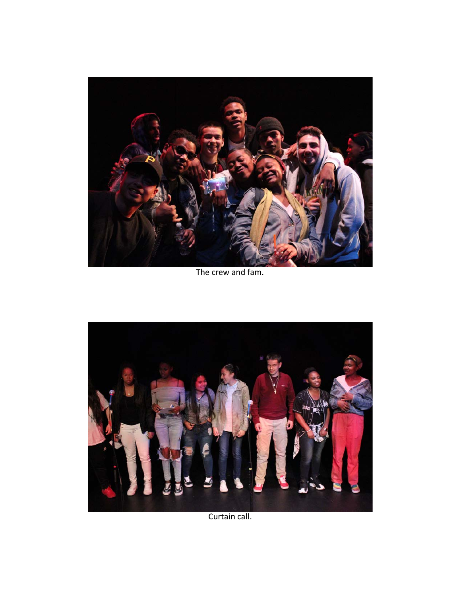

The crew and fam.



Curtain call.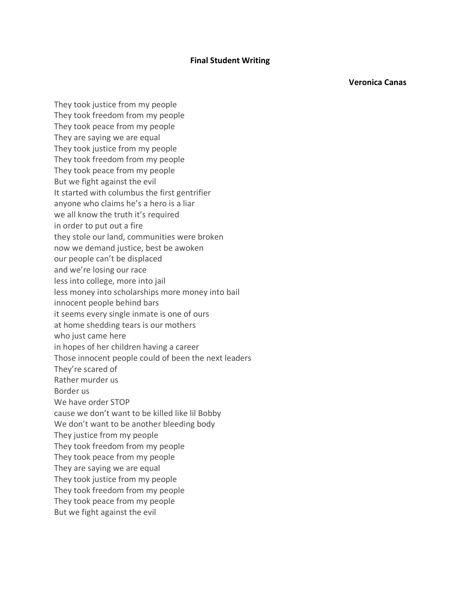#### **Final Student Writing**

**Veronica Canas**

They took justice from my people They took freedom from my people They took peace from my people They are saying we are equal They took justice from my people They took freedom from my people They took peace from my people But we fight against the evil It started with columbus the first gentrifier anyone who claims he's a hero is a liar we all know the truth it's required in order to put out a fire they stole our land, communities were broken now we demand justice, best be awoken our people can't be displaced and we're losing our race less into college, more into jail less money into scholarships more money into bail innocent people behind bars it seems every single inmate is one of ours at home shedding tears is our mothers who just came here in hopes of her children having a career Those innocent people could of been the next leaders They're scared of Rather murder us Border us We have order STOP cause we don't want to be killed like lil Bobby We don't want to be another bleeding body They justice from my people They took freedom from my people They took peace from my people They are saying we are equal They took justice from my people They took freedom from my people They took peace from my people But we fight against the evil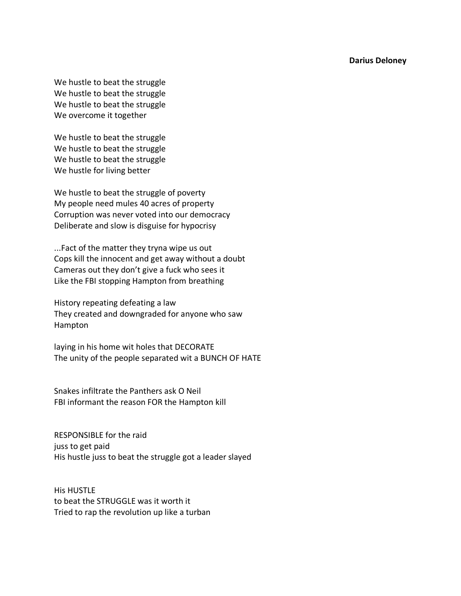**Darius Deloney**

We hustle to beat the struggle We hustle to beat the struggle We hustle to beat the struggle We overcome it together

We hustle to beat the struggle We hustle to beat the struggle We hustle to beat the struggle We hustle for living better

We hustle to beat the struggle of poverty My people need mules 40 acres of property Corruption was never voted into our democracy Deliberate and slow is disguise for hypocrisy

...Fact of the matter they tryna wipe us out Cops kill the innocent and get away without a doubt Cameras out they don't give a fuck who sees it Like the FBI stopping Hampton from breathing

History repeating defeating a law They created and downgraded for anyone who saw Hampton

laying in his home wit holes that DECORATE The unity of the people separated wit a BUNCH OF HATE

Snakes infiltrate the Panthers ask O Neil FBI informant the reason FOR the Hampton kill

RESPONSIBLE for the raid juss to get paid His hustle juss to beat the struggle got a leader slayed

His HUSTLE to beat the STRUGGLE was it worth it Tried to rap the revolution up like a turban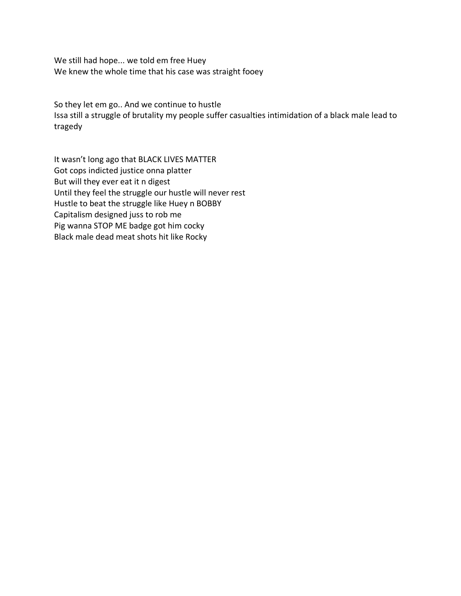We still had hope... we told em free Huey We knew the whole time that his case was straight fooey

So they let em go.. And we continue to hustle Issa still a struggle of brutality my people suffer casualties intimidation of a black male lead to tragedy

It wasn't long ago that BLACK LIVES MATTER Got cops indicted justice onna platter But will they ever eat it n digest Until they feel the struggle our hustle will never rest Hustle to beat the struggle like Huey n BOBBY Capitalism designed juss to rob me Pig wanna STOP ME badge got him cocky Black male dead meat shots hit like Rocky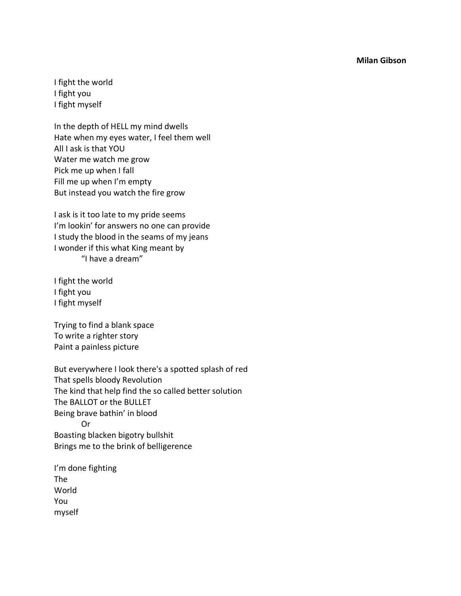**Milan Gibson**

I fight the world I fight you I fight myself

In the depth of HELL my mind dwells Hate when my eyes water, I feel them well All I ask is that YOU Water me watch me grow Pick me up when I fall Fill me up when I'm empty But instead you watch the fire grow

I ask is it too late to my pride seems I'm lookin' for answers no one can provide I study the blood in the seams of my jeans I wonder if this what King meant by "I have a dream"

I fight the world I fight you I fight myself

Trying to find a blank space To write a righter story Paint a painless picture

But everywhere I look there's a spotted splash of red That spells bloody Revolution The kind that help find the so called better solution The BALLOT or the BULLET Being brave bathin' in blood Or Boasting blacken bigotry bullshit Brings me to the brink of belligerence

I'm done fighting The World You myself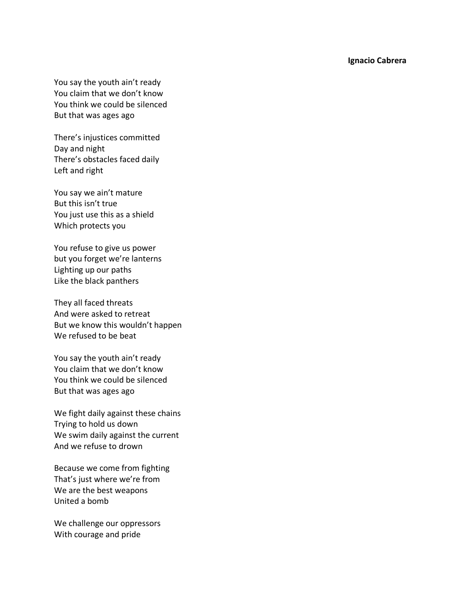**Ignacio Cabrera**

You say the youth ain't ready You claim that we don't know You think we could be silenced But that was ages ago

There's injustices committed Day and night There's obstacles faced daily Left and right

You say we ain't mature But this isn't true You just use this as a shield Which protects you

You refuse to give us power but you forget we're lanterns Lighting up our paths Like the black panthers

They all faced threats And were asked to retreat But we know this wouldn't happen We refused to be beat

You say the youth ain't ready You claim that we don't know You think we could be silenced But that was ages ago

We fight daily against these chains Trying to hold us down We swim daily against the current And we refuse to drown

Because we come from fighting That's just where we're from We are the best weapons United a bomb

We challenge our oppressors With courage and pride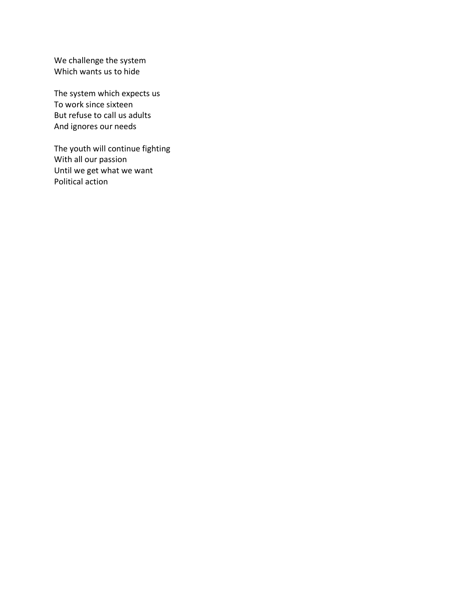We challenge the system Which wants us to hide

The system which expects us To work since sixteen But refuse to call us adults And ignores our needs

The youth will continue fighting With all our passion Until we get what we want Political action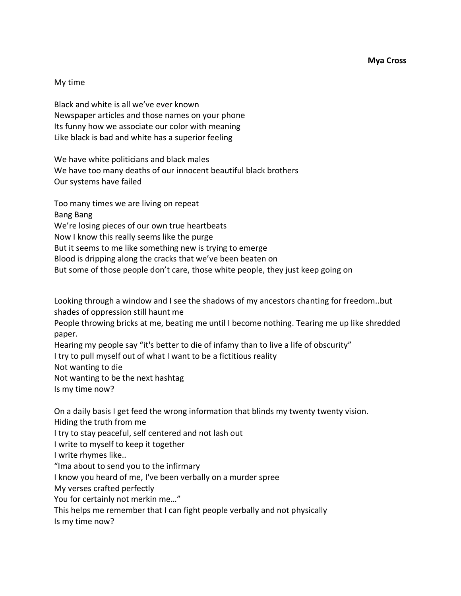**Mya Cross**

#### My time

Black and white is all we've ever known Newspaper articles and those names on your phone Its funny how we associate our color with meaning Like black is bad and white has a superior feeling

We have white politicians and black males We have too many deaths of our innocent beautiful black brothers Our systems have failed

Too many times we are living on repeat Bang Bang We're losing pieces of our own true heartbeats Now I know this really seems like the purge But it seems to me like something new is trying to emerge Blood is dripping along the cracks that we've been beaten on But some of those people don't care, those white people, they just keep going on

Looking through a window and I see the shadows of my ancestors chanting for freedom..but shades of oppression still haunt me

People throwing bricks at me, beating me until I become nothing. Tearing me up like shredded paper.

Hearing my people say "it's better to die of infamy than to live a life of obscurity"

I try to pull myself out of what I want to be a fictitious reality

Not wanting to die

Not wanting to be the next hashtag

Is my time now?

On a daily basis I get feed the wrong information that blinds my twenty twenty vision.

Hiding the truth from me

I try to stay peaceful, self centered and not lash out

I write to myself to keep it together

I write rhymes like..

"Ima about to send you to the infirmary

I know you heard of me, I've been verbally on a murder spree

My verses crafted perfectly

You for certainly not merkin me…"

This helps me remember that I can fight people verbally and not physically

Is my time now?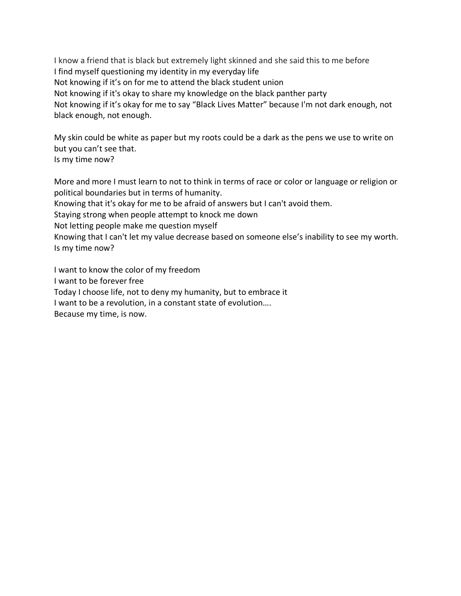I know a friend that is black but extremely light skinned and she said this to me before I find myself questioning my identity in my everyday life Not knowing if it's on for me to attend the black student union Not knowing if it's okay to share my knowledge on the black panther party Not knowing if it's okay for me to say "Black Lives Matter" because I'm not dark enough, not black enough, not enough.

My skin could be white as paper but my roots could be a dark as the pens we use to write on but you can't see that. Is my time now?

More and more I must learn to not to think in terms of race or color or language or religion or political boundaries but in terms of humanity.

Knowing that it's okay for me to be afraid of answers but I can't avoid them.

Staying strong when people attempt to knock me down

Not letting people make me question myself

Knowing that I can't let my value decrease based on someone else's inability to see my worth. Is my time now?

I want to know the color of my freedom I want to be forever free Today I choose life, not to deny my humanity, but to embrace it I want to be a revolution, in a constant state of evolution…. Because my time, is now.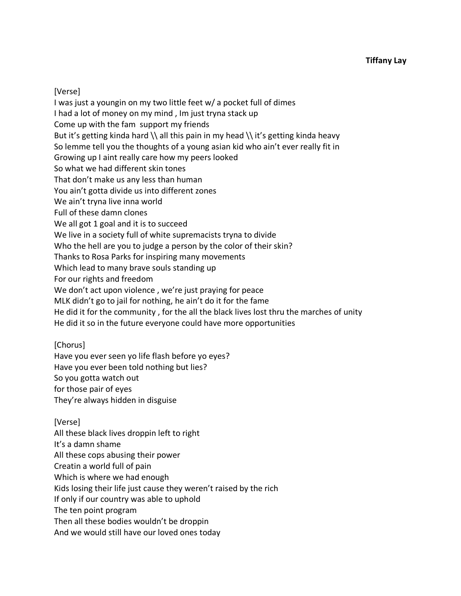[Verse]

I was just a youngin on my two little feet w/ a pocket full of dimes I had a lot of money on my mind , Im just tryna stack up Come up with the fam support my friends But it's getting kinda hard  $\lambda$  all this pain in my head  $\lambda$  it's getting kinda heavy So lemme tell you the thoughts of a young asian kid who ain't ever really fit in Growing up I aint really care how my peers looked So what we had different skin tones That don't make us any less than human You ain't gotta divide us into different zones We ain't tryna live inna world Full of these damn clones We all got 1 goal and it is to succeed We live in a society full of white supremacists tryna to divide Who the hell are you to judge a person by the color of their skin? Thanks to Rosa Parks for inspiring many movements Which lead to many brave souls standing up For our rights and freedom We don't act upon violence , we're just praying for peace MLK didn't go to jail for nothing, he ain't do it for the fame He did it for the community , for the all the black lives lost thru the marches of unity He did it so in the future everyone could have more opportunities

## [Chorus]

Have you ever seen yo life flash before yo eyes? Have you ever been told nothing but lies? So you gotta watch out for those pair of eyes They're always hidden in disguise

[Verse] All these black lives droppin left to right It's a damn shame All these cops abusing their power Creatin a world full of pain Which is where we had enough Kids losing their life just cause they weren't raised by the rich If only if our country was able to uphold The ten point program Then all these bodies wouldn't be droppin And we would still have our loved ones today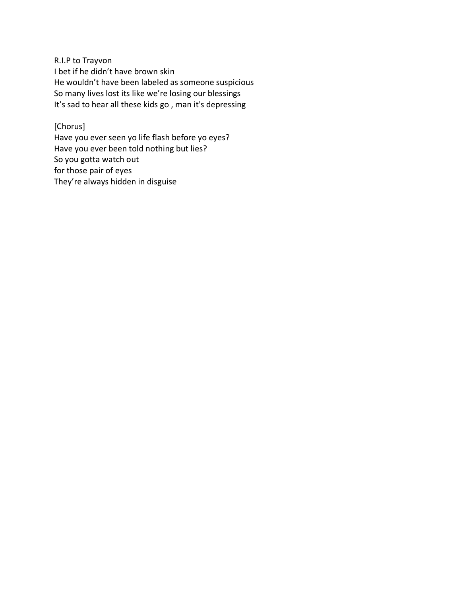R.I.P to Trayvon I bet if he didn't have brown skin He wouldn't have been labeled as someone suspicious So many lives lost its like we're losing our blessings It's sad to hear all these kids go , man it's depressing

[Chorus] Have you ever seen yo life flash before yo eyes? Have you ever been told nothing but lies? So you gotta watch out for those pair of eyes They're always hidden in disguise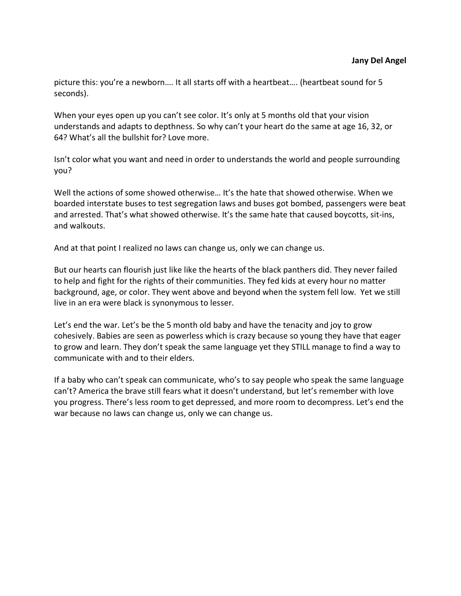picture this: you're a newborn…. It all starts off with a heartbeat…. (heartbeat sound for 5 seconds).

When your eyes open up you can't see color. It's only at 5 months old that your vision understands and adapts to depthness. So why can't your heart do the same at age 16, 32, or 64? What's all the bullshit for? Love more.

Isn't color what you want and need in order to understands the world and people surrounding you?

Well the actions of some showed otherwise... It's the hate that showed otherwise. When we boarded interstate buses to test segregation laws and buses got bombed, passengers were beat and arrested. That's what showed otherwise. It's the same hate that caused boycotts, sit-ins, and walkouts.

And at that point I realized no laws can change us, only we can change us.

But our hearts can flourish just like like the hearts of the black panthers did. They never failed to help and fight for the rights of their communities. They fed kids at every hour no matter background, age, or color. They went above and beyond when the system fell low. Yet we still live in an era were black is synonymous to lesser.

Let's end the war. Let's be the 5 month old baby and have the tenacity and joy to grow cohesively. Babies are seen as powerless which is crazy because so young they have that eager to grow and learn. They don't speak the same language yet they STILL manage to find a way to communicate with and to their elders.

If a baby who can't speak can communicate, who's to say people who speak the same language can't? America the brave still fears what it doesn't understand, but let's remember with love you progress. There's less room to get depressed, and more room to decompress. Let's end the war because no laws can change us, only we can change us.